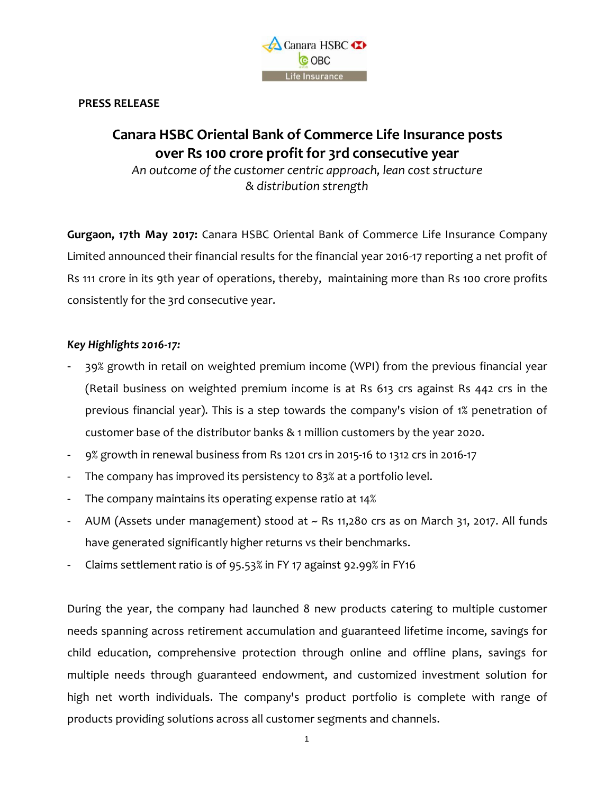

### **PRESS RELEASE**

# **Canara HSBC Oriental Bank of Commerce Life Insurance posts over Rs 100 crore profit for 3rd consecutive year**

*An outcome of the customer centric approach, lean cost structure & distribution strength*

**Gurgaon, 17th May 2017:** Canara HSBC Oriental Bank of Commerce Life Insurance Company Limited announced their financial results for the financial year 2016-17 reporting a net profit of Rs 111 crore in its 9th year of operations, thereby, maintaining more than Rs 100 crore profits consistently for the 3rd consecutive year.

# *Key Highlights 2016-17:*

- 39% growth in retail on weighted premium income (WPI) from the previous financial year (Retail business on weighted premium income is at Rs 613 crs against Rs 442 crs in the previous financial year). This is a step towards the company's vision of 1% penetration of customer base of the distributor banks & 1 million customers by the year 2020.
- 9% growth in renewal business from Rs 1201 crs in 2015-16 to 1312 crs in 2016-17
- The company has improved its persistency to 83% at a portfolio level.
- The company maintains its operating expense ratio at 14%
- AUM (Assets under management) stood at ~ Rs 11,280 crs as on March 31, 2017. All funds have generated significantly higher returns vs their benchmarks.
- Claims settlement ratio is of 95.53% in FY 17 against 92.99% in FY16

During the year, the company had launched 8 new products catering to multiple customer needs spanning across retirement accumulation and guaranteed lifetime income, savings for child education, comprehensive protection through online and offline plans, savings for multiple needs through guaranteed endowment, and customized investment solution for high net worth individuals. The company's product portfolio is complete with range of products providing solutions across all customer segments and channels.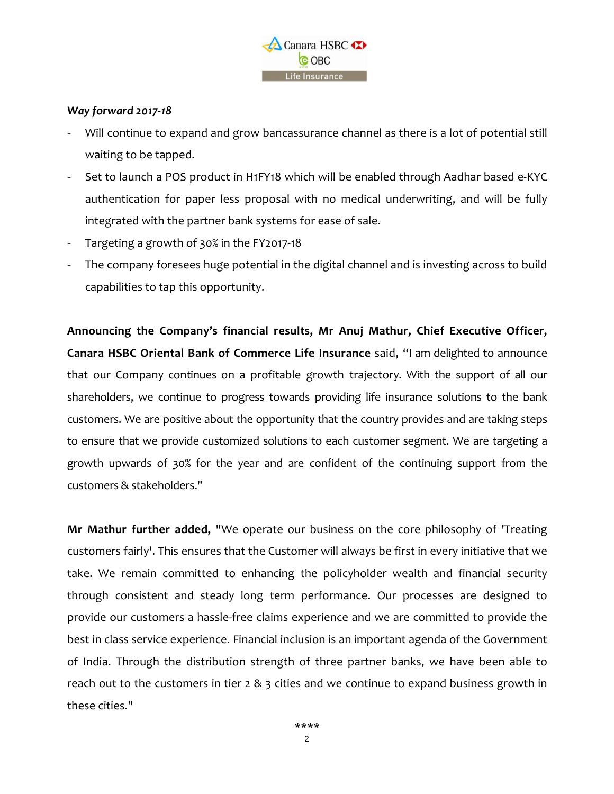

## *Way forward 2017-18*

- Will continue to expand and grow bancassurance channel as there is a lot of potential still waiting to be tapped.
- Set to launch a POS product in H1FY18 which will be enabled through Aadhar based e-KYC authentication for paper less proposal with no medical underwriting, and will be fully integrated with the partner bank systems for ease of sale.
- Targeting a growth of 30% in the FY2017-18
- The company foresees huge potential in the digital channel and is investing across to build capabilities to tap this opportunity.

**Announcing the Company's financial results, Mr Anuj Mathur, Chief Executive Officer, Canara HSBC Oriental Bank of Commerce Life Insurance** said, "I am delighted to announce that our Company continues on a profitable growth trajectory. With the support of all our shareholders, we continue to progress towards providing life insurance solutions to the bank customers. We are positive about the opportunity that the country provides and are taking steps to ensure that we provide customized solutions to each customer segment. We are targeting a growth upwards of 30% for the year and are confident of the continuing support from the customers & stakeholders."

**Mr Mathur further added,** "We operate our business on the core philosophy of 'Treating customers fairly'. This ensures that the Customer will always be first in every initiative that we take. We remain committed to enhancing the policyholder wealth and financial security through consistent and steady long term performance. Our processes are designed to provide our customers a hassle-free claims experience and we are committed to provide the best in class service experience. Financial inclusion is an important agenda of the Government of India. Through the distribution strength of three partner banks, we have been able to reach out to the customers in tier  $2 \& 3$  cities and we continue to expand business growth in these cities."